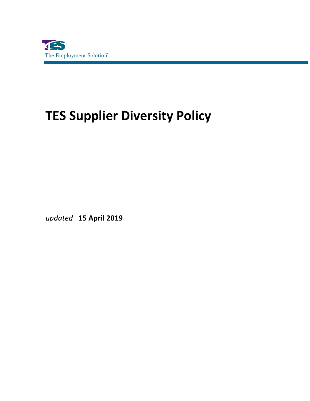

## **TES Supplier Diversity Policy**

*updated* **15 April 2019**